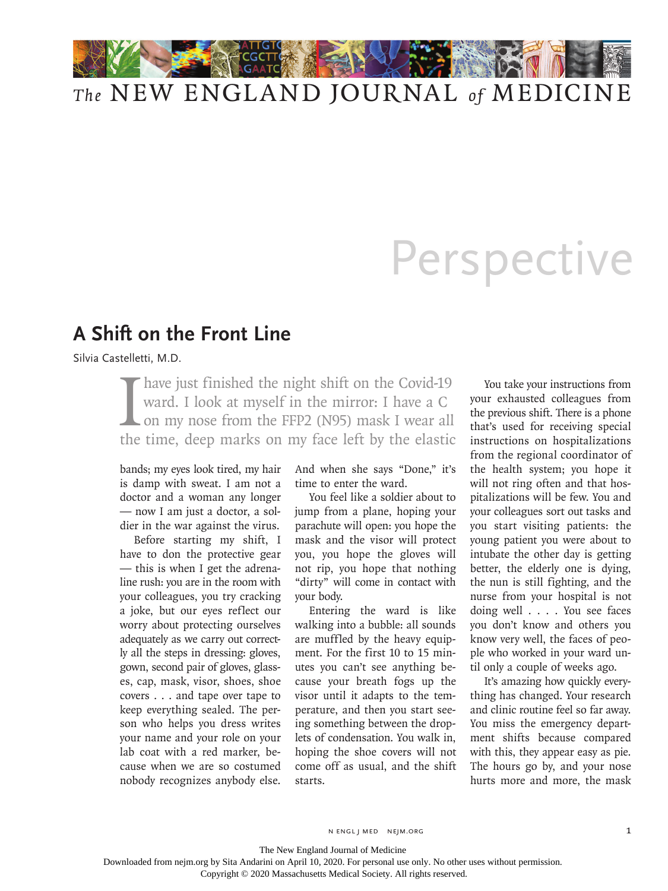

## Perspective

## **A Shift on the Front Line**

Silvia Castelletti, M.D.

I have just finished the night shift on the Covid-19 ward. I look at myself in the mirror: I have a C on my nose from the FFP2 (N95) mask I wear all the time. deep marks on my face left by the elastic ward. I look at myself in the mirror: I have a C on my nose from the FFP2 (N95) mask I wear all the time, deep marks on my face left by the elastic

bands; my eyes look tired, my hair is damp with sweat. I am not a doctor and a woman any longer — now I am just a doctor, a soldier in the war against the virus.

Before starting my shift, I have to don the protective gear — this is when I get the adrenaline rush: you are in the room with your colleagues, you try cracking a joke, but our eyes reflect our worry about protecting ourselves adequately as we carry out correctly all the steps in dressing: gloves, gown, second pair of gloves, glasses, cap, mask, visor, shoes, shoe covers . . . and tape over tape to keep everything sealed. The person who helps you dress writes your name and your role on your lab coat with a red marker, because when we are so costumed nobody recognizes anybody else.

And when she says "Done," it's time to enter the ward.

You feel like a soldier about to jump from a plane, hoping your parachute will open: you hope the mask and the visor will protect you, you hope the gloves will not rip, you hope that nothing "dirty" will come in contact with your body.

Entering the ward is like walking into a bubble: all sounds are muffled by the heavy equipment. For the first 10 to 15 minutes you can't see anything because your breath fogs up the visor until it adapts to the temperature, and then you start seeing something between the droplets of condensation. You walk in, hoping the shoe covers will not come off as usual, and the shift starts.

You take your instructions from your exhausted colleagues from the previous shift. There is a phone that's used for receiving special instructions on hospitalizations from the regional coordinator of the health system; you hope it will not ring often and that hospitalizations will be few. You and your colleagues sort out tasks and you start visiting patients: the young patient you were about to intubate the other day is getting better, the elderly one is dying, the nun is still fighting, and the nurse from your hospital is not doing well . . . . You see faces you don't know and others you know very well, the faces of people who worked in your ward until only a couple of weeks ago.

It's amazing how quickly everything has changed. Your research and clinic routine feel so far away. You miss the emergency department shifts because compared with this, they appear easy as pie. The hours go by, and your nose hurts more and more, the mask

n engl j med nejm.org 1

The New England Journal of Medicine

Downloaded from nejm.org by Sita Andarini on April 10, 2020. For personal use only. No other uses without permission.

Copyright © 2020 Massachusetts Medical Society. All rights reserved.